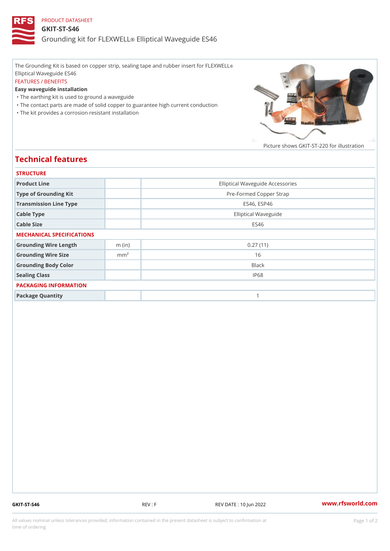## PRODUCT DATASHEET GKIT-ST-S46 Grounding kit for **ELEIXIME tal** Waveguide ES46

The Grounding Kit is based on copper strip, sealing tape and rubber insert for FLEXWELL ® Elliptical Waveguide ES46 FEATURES / BENEFITS Easy waveguide installation "The earthing kit is used to ground a waveguide "The contact parts are made of solid copper to guarantee high current conduction

"The kit provides a corrosion resistant installation

Picture shows  $GKIT-ST-220$  for ill

## Technical features

| <b>STRUCTURE</b>          |                  |                                  |
|---------------------------|------------------|----------------------------------|
| Product Line              |                  | Elliptical Waveguide Accessories |
| Type of Grounding Kit     |                  | Pre-Formed Copper Strap          |
| Transmission Line Type    |                  | ES46, ESP46                      |
| Cable Type                |                  | Elliptical Waveguide             |
| Cable Size                |                  | ES46                             |
| MECHANICAL SPECIFICATIONS |                  |                                  |
| Grounding Wire Length     | $m$ (in)         | 0.27(11)                         |
| Grounding Wire Size       | m m <sup>2</sup> | 16                               |
| Grounding Body Color      |                  | Black                            |
| Sealing Class             |                  | IP68                             |
| PACKAGING INFORMATION     |                  |                                  |
| Package Quantity          |                  | 1                                |

GKIT-ST-S46 REV : F REV DATE : 10 Jun 2022 [www.](https://www.rfsworld.com)rfsworld.com